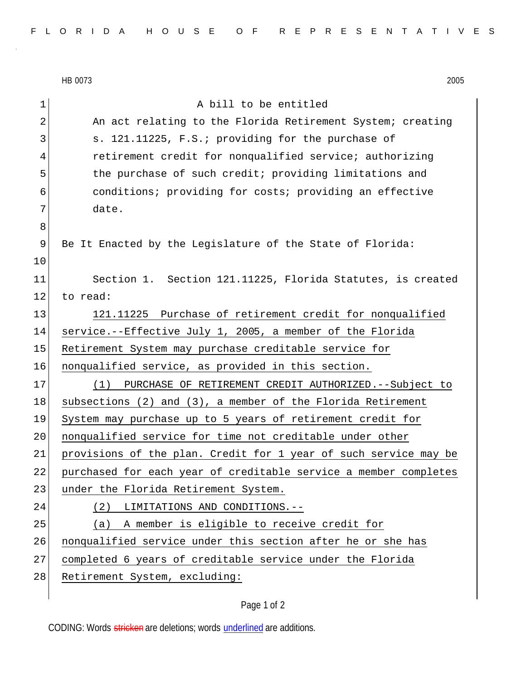HB 0073 2005 1 a bill to be entitled 2 An act relating to the Florida Retirement System; creating 3 s. 121.11225, F.S.; providing for the purchase of 4 retirement credit for nonqualified service; authorizing 5 5 the purchase of such credit; providing limitations and 6 conditions; providing for costs; providing an effective 7 date. 8 9 Be It Enacted by the Legislature of the State of Florida: 10 11 Section 1. Section 121.11225, Florida Statutes, is created 12 to read: 13 121.11225 Purchase of retirement credit for nonqualified 14 service.--Effective July 1, 2005, a member of the Florida 15 Retirement System may purchase creditable service for 16 nonqualified service, as provided in this section. 17 (1) PURCHASE OF RETIREMENT CREDIT AUTHORIZED.--Subject to 18 subsections (2) and (3), a member of the Florida Retirement 19 System may purchase up to 5 years of retirement credit for 20 | nonqualified service for time not creditable under other 21 provisions of the plan. Credit for 1 year of such service may be 22 purchased for each year of creditable service a member completes 23 under the Florida Retirement System. 24 (2) LIMITATIONS AND CONDITIONS.-- 25 (a) A member is eligible to receive credit for 26 | nonqualified service under this section after he or she has 27 completed 6 years of creditable service under the Florida 28 Retirement System, excluding:

## Page 1 of 2

CODING: Words stricken are deletions; words underlined are additions.